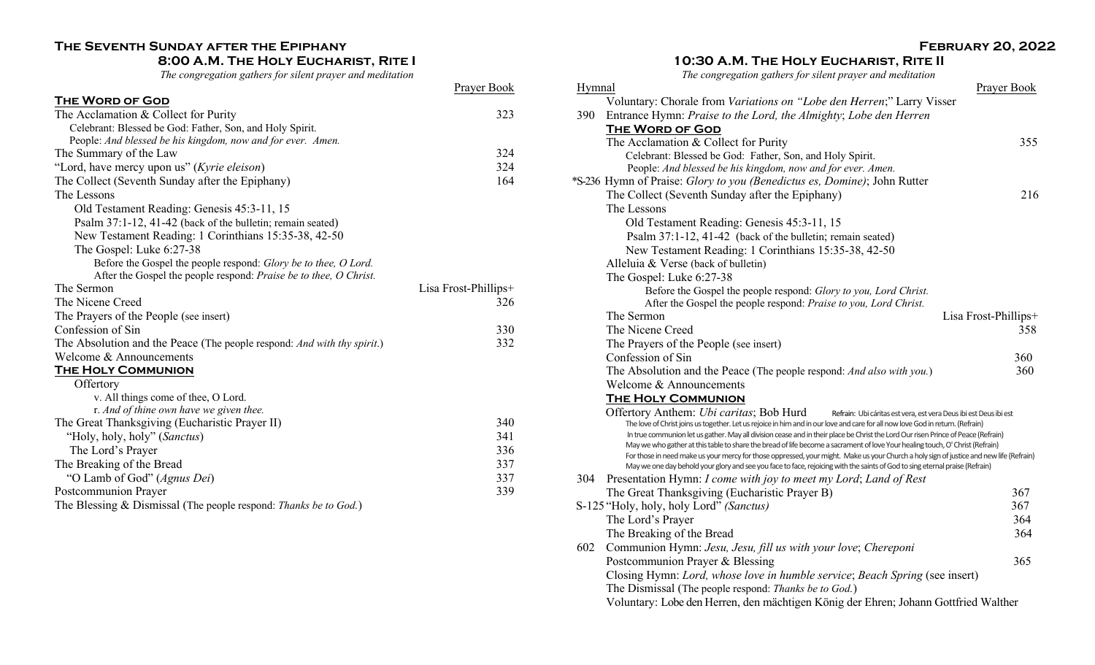# **The Seventh Sunday after the Epiphany**

## **8:00 A.M. The Holy Eucharist, Rite I**

*The congregation gathers for silent prayer and meditation*

Prayer Book

| THE WORD OF GOD                                                                 |                      |
|---------------------------------------------------------------------------------|----------------------|
| The Acclamation & Collect for Purity                                            | 323                  |
| Celebrant: Blessed be God: Father, Son, and Holy Spirit.                        |                      |
| People: And blessed be his kingdom, now and for ever. Amen.                     |                      |
| The Summary of the Law                                                          | 324                  |
| "Lord, have mercy upon us" (Kyrie eleison)                                      | 324                  |
| The Collect (Seventh Sunday after the Epiphany)                                 | 164                  |
| The Lessons                                                                     |                      |
| Old Testament Reading: Genesis 45:3-11, 15                                      |                      |
| Psalm 37:1-12, 41-42 (back of the bulletin; remain seated)                      |                      |
| New Testament Reading: 1 Corinthians 15:35-38, 42-50                            |                      |
| The Gospel: Luke 6:27-38                                                        |                      |
| Before the Gospel the people respond: Glory be to thee, O Lord.                 |                      |
| After the Gospel the people respond: Praise be to thee, O Christ.               |                      |
| The Sermon                                                                      | Lisa Frost-Phillips+ |
| The Nicene Creed                                                                | 326                  |
| The Prayers of the People (see insert)                                          |                      |
| Confession of Sin                                                               | 330                  |
| The Absolution and the Peace (The people respond: <i>And with thy spirit.</i> ) | 332                  |
| Welcome & Announcements                                                         |                      |
| <b>THE HOLY COMMUNION</b>                                                       |                      |
| Offertory                                                                       |                      |
| v. All things come of thee, O Lord.                                             |                      |
| r. And of thine own have we given thee.                                         |                      |
| The Great Thanksgiving (Eucharistic Prayer II)                                  | 340                  |
| "Holy, holy, holy" (Sanctus)                                                    | 341                  |
| The Lord's Prayer                                                               | 336                  |
| The Breaking of the Bread                                                       | 337                  |
| "O Lamb of God" (Agnus Dei)                                                     | 337                  |
| Postcommunion Prayer                                                            | 339                  |
| The Blessing & Dismissal (The people respond: Thanks be to God.)                |                      |

## **February 20, 2022**

### **10:30 A.M. The Holy Eucharist, Rite II**

*The congregation gathers for silent prayer and meditation*

|        | examon xamers for such prayer and meantanon                                                                                                                                                                                                                        |                      |
|--------|--------------------------------------------------------------------------------------------------------------------------------------------------------------------------------------------------------------------------------------------------------------------|----------------------|
| Hymnal |                                                                                                                                                                                                                                                                    | <b>Prayer Book</b>   |
|        | Voluntary: Chorale from Variations on "Lobe den Herren;" Larry Visser                                                                                                                                                                                              |                      |
| 390    | Entrance Hymn: Praise to the Lord, the Almighty; Lobe den Herren                                                                                                                                                                                                   |                      |
|        | <b>THE WORD OF GOD</b>                                                                                                                                                                                                                                             |                      |
|        | The Acclamation & Collect for Purity                                                                                                                                                                                                                               | 355                  |
|        | Celebrant: Blessed be God: Father, Son, and Holy Spirit.                                                                                                                                                                                                           |                      |
|        | People: And blessed be his kingdom, now and for ever. Amen.                                                                                                                                                                                                        |                      |
|        | *S-236 Hymn of Praise: Glory to you (Benedictus es, Domine); John Rutter                                                                                                                                                                                           |                      |
|        | The Collect (Seventh Sunday after the Epiphany)                                                                                                                                                                                                                    | 216                  |
|        | The Lessons                                                                                                                                                                                                                                                        |                      |
|        | Old Testament Reading: Genesis 45:3-11, 15                                                                                                                                                                                                                         |                      |
|        | Psalm 37:1-12, 41-42 (back of the bulletin; remain seated)                                                                                                                                                                                                         |                      |
|        | New Testament Reading: 1 Corinthians 15:35-38, 42-50                                                                                                                                                                                                               |                      |
|        | Alleluia & Verse (back of bulletin)                                                                                                                                                                                                                                |                      |
|        | The Gospel: Luke 6:27-38                                                                                                                                                                                                                                           |                      |
|        | Before the Gospel the people respond: Glory to you, Lord Christ.                                                                                                                                                                                                   |                      |
|        | After the Gospel the people respond: Praise to you, Lord Christ.                                                                                                                                                                                                   |                      |
|        | The Sermon                                                                                                                                                                                                                                                         | Lisa Frost-Phillips+ |
|        | The Nicene Creed                                                                                                                                                                                                                                                   | 358                  |
|        | The Prayers of the People (see insert)                                                                                                                                                                                                                             |                      |
|        | Confession of Sin                                                                                                                                                                                                                                                  | 360                  |
|        | The Absolution and the Peace (The people respond: And also with you.)                                                                                                                                                                                              | 360                  |
|        | Welcome & Announcements                                                                                                                                                                                                                                            |                      |
|        | <b>THE HOLY COMMUNION</b>                                                                                                                                                                                                                                          |                      |
|        | Offertory Anthem: Ubi caritas; Bob Hurd<br>Refrain: Ubi cáritas est vera, est vera Deus ibi est Deus ibi est                                                                                                                                                       |                      |
|        | The love of Christ joins us together. Let us rejoice in him and in our love and care for all now love God in return. (Refrain)                                                                                                                                     |                      |
|        | In true communion let us gather. May all division cease and in their place be Christ the Lord Our risen Prince of Peace (Refrain)<br>May we who gather at this table to share the bread of life become a sacrament of love Your healing touch, O' Christ (Refrain) |                      |
|        | For those in need make us your mercy for those oppressed, your might. Make us your Church a holy sign of justice and new life (Refrain)                                                                                                                            |                      |
|        | May we one day behold your glory and see you face to face, rejoicing with the saints of God to sing eternal praise (Refrain)                                                                                                                                       |                      |
| 304    | Presentation Hymn: I come with joy to meet my Lord; Land of Rest                                                                                                                                                                                                   |                      |
|        | The Great Thanksgiving (Eucharistic Prayer B)                                                                                                                                                                                                                      | 367                  |
|        | S-125 "Holy, holy, holy Lord" (Sanctus)                                                                                                                                                                                                                            | 367                  |
|        | The Lord's Prayer                                                                                                                                                                                                                                                  | 364                  |
|        | The Breaking of the Bread                                                                                                                                                                                                                                          | 364                  |
| 602    | Communion Hymn: Jesu, Jesu, fill us with your love; Chereponi                                                                                                                                                                                                      |                      |
|        | Postcommunion Prayer & Blessing                                                                                                                                                                                                                                    | 365                  |
|        | Closing Hymn: Lord, whose love in humble service; Beach Spring (see insert)                                                                                                                                                                                        |                      |
|        | The Dismissal (The people respond: Thanks be to God.)                                                                                                                                                                                                              |                      |
|        | Voluntary: Lobe den Herren, den mächtigen König der Ehren; Johann Gottfried Walther                                                                                                                                                                                |                      |
|        |                                                                                                                                                                                                                                                                    |                      |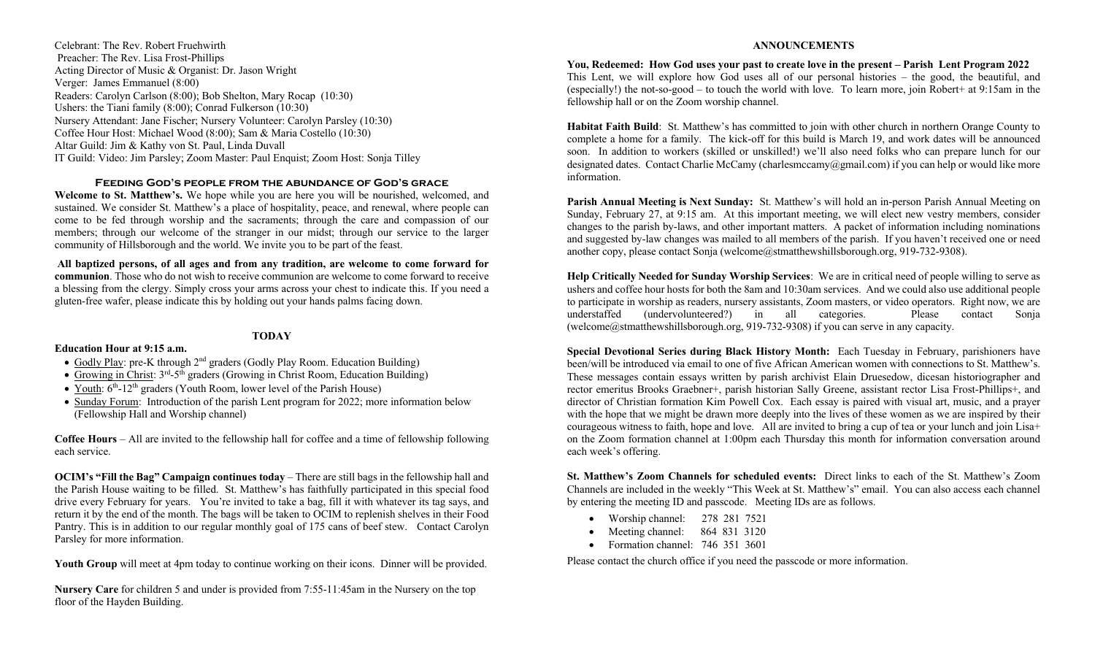Celebrant: The Rev. Robert Fruehwirth Preacher: The Rev. Lisa Frost-Phillips Acting Director of Music & Organist: Dr. Jason Wright Verger: James Emmanuel (8:00) Readers: Carolyn Carlson (8:00); Bob Shelton, Mary Rocap (10:30) Ushers: the Tiani family (8:00); Conrad Fulkerson (10:30) Nursery Attendant: Jane Fischer; Nursery Volunteer: Carolyn Parsley (10:30) Coffee Hour Host: Michael Wood (8:00); Sam & Maria Costello (10:30) Altar Guild: Jim & Kathy von St. Paul, Linda Duvall IT Guild: Video: Jim Parsley; Zoom Master: Paul Enquist; Zoom Host: Sonja Tilley

#### **Feeding God's people from the abundance of God's grace**

**Welcome to St. Matthew's.** We hope while you are here you will be nourished, welcomed, and sustained. We consider St. Matthew's a place of hospitality, peace, and renewal, where people can come to be fed through worship and the sacraments; through the care and compassion of our members; through our welcome of the stranger in our midst; through our service to the larger community of Hillsborough and the world. We invite you to be part of the feast.

**All baptized persons, of all ages and from any tradition, are welcome to come forward for communion**. Those who do not wish to receive communion are welcome to come forward to receive a blessing from the clergy. Simply cross your arms across your chest to indicate this. If you need a gluten-free wafer, please indicate this by holding out your hands palms facing down.

### **TODAY**

#### **Education Hour at 9:15 a.m.**

- Godly Play: pre-K through 2<sup>nd</sup> graders (Godly Play Room. Education Building)
- Growing in Christ:  $3<sup>rd</sup> 5<sup>th</sup>$  graders (Growing in Christ Room, Education Building)
- Youth:  $6<sup>th</sup>$ -12<sup>th</sup> graders (Youth Room, lower level of the Parish House)
- Sunday Forum: Introduction of the parish Lent program for 2022; more information below (Fellowship Hall and Worship channel)

**Coffee Hours** – All are invited to the fellowship hall for coffee and a time of fellowship following each service.

**OCIM's "Fill the Bag" Campaign continues today** – There are still bags in the fellowship hall and the Parish House waiting to be filled. St. Matthew's has faithfully participated in this special food drive every February for years. You're invited to take a bag, fill it with whatever its tag says, and return it by the end of the month. The bags will be taken to OCIM to replenish shelves in their Food Pantry. This is in addition to our regular monthly goal of 175 cans of beef stew. Contact Carolyn Parsley for more information.

**Youth Group** will meet at 4pm today to continue working on their icons. Dinner will be provided.

**Nursery Care** for children 5 and under is provided from 7:55-11:45am in the Nursery on the top floor of the Hayden Building.

#### **ANNOUNCEMENTS**

**You, Redeemed: How God uses your past to create love in the present – Parish Lent Program 2022** This Lent, we will explore how God uses all of our personal histories – the good, the beautiful, and (especially!) the not-so-good – to touch the world with love. To learn more, join Robert+ at 9:15am in the fellowship hall or on the Zoom worship channel.

**Habitat Faith Build**: St. Matthew's has committed to join with other church in northern Orange County to complete a home for a family. The kick-off for this build is March 19, and work dates will be announced soon. In addition to workers (skilled or unskilled!) we'll also need folks who can prepare lunch for our designated dates. Contact Charlie McCamy (charlesmccamy@gmail.com) if you can help or would like more information.

**Parish Annual Meeting is Next Sunday:** St. Matthew's will hold an in-person Parish Annual Meeting on Sunday, February 27, at 9:15 am. At this important meeting, we will elect new vestry members, consider changes to the parish by-laws, and other important matters. A packet of information including nominations and suggested by-law changes was mailed to all members of the parish. If you haven't received one or need another copy, please contact Sonja (welcome@stmatthewshillsborough.org, 919-732-9308).

**Help Critically Needed for Sunday Worship Services**: We are in critical need of people willing to serve as ushers and coffee hour hosts for both the 8am and 10:30am services. And we could also use additional people to participate in worship as readers, nursery assistants, Zoom masters, or video operators. Right now, we are understaffed (undervolunteered?) in all categories. Please contact Sonja (welcome@stmatthewshillsborough.org, 919-732-9308) if you can serve in any capacity.

**Special Devotional Series during Black History Month:** Each Tuesday in February, parishioners have been/will be introduced via email to one of five African American women with connections to St. Matthew's. These messages contain essays written by parish archivist Elain Druesedow, dicesan historiographer and rector emeritus Brooks Graebner+, parish historian Sally Greene, assistant rector Lisa Frost-Phillips+, and director of Christian formation Kim Powell Cox. Each essay is paired with visual art, music, and a prayer with the hope that we might be drawn more deeply into the lives of these women as we are inspired by their courageous witness to faith, hope and love. All are invited to bring a cup of tea or your lunch and join Lisa+ on the Zoom formation channel at 1:00pm each Thursday this month for information conversation around each week's offering.

**St. Matthew's Zoom Channels for scheduled events:** Direct links to each of the St. Matthew's Zoom Channels are included in the weekly "This Week at St. Matthew's" email. You can also access each channel by entering the meeting ID and passcode. Meeting IDs are as follows.

- Worship channel: 278 281 7521
- Meeting channel: 864 831 3120
- Formation channel: 746 351 3601

Please contact the church office if you need the passcode or more information.